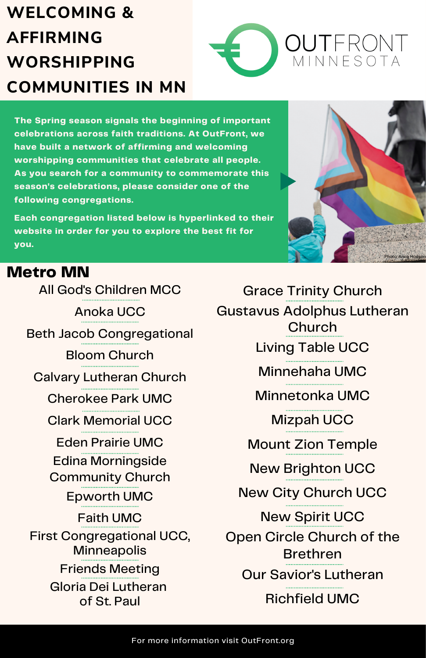# **WELCOMING & AFFIRMING WORSHIPPING COMMUNITIES IN MN**



**The Spring season signals the beginning of important celebrations across faith traditions. At OutFront, we have built a network of affirming and welcoming worshipping communities that celebrate all people. As you search for a community to commemorate this season's celebrations, please consider one of the following congregations.**

**Each congregation listed below is hyperlinked to their website in order for you to explore the best fit for you.**



#### **Metro MN**

**DO** highlight Native American history and how Edina Morningside [Community](http://www.emcucc.org/) Church [Epworth](https://www.minnesotaumc.org/) UMC **DON'T REFERENCE SPIRITUALITY AS "SUPER TO A TANGE SPIRITUALITY AS "SUPER TO A TANGE SPIRITUALITY AS "SUPER TO A** All God's [Children](http://www.agcmcc.org/) MCC [Anoka](https://uccanoka.org/) UCC Beth Jacob [Congregational](https://beth-jacob.org/) Bloom [Church](https://www.whybloom.com/) Calvary [Lutheran](http://www.clchurch.org/) Church [Cherokee](https://cherokeeparkunited.org/) Park UMC Clark [Memorial](https://clarkgraceucc.org/) UCC Eden [Prairie](http://prairiechurch.org/) UMC [Faith](https://www.faithumchurch.com/) UMC First [Congregational](http://firstchurchmn.org/) UCC, **Minneapolis** Friends [Meeting](https://minneapolisfriends.org/) Gloria Dei [Lutheran](https://www.gloriadeistpaul.org/) of St. Paul

Grace Trinity [Church](http://www.gracetrinitychurch.org/) Gustavus [Adolphus](https://www.gachurch.org/) Lutheran Church [Living](http://www.livingtable.org/) Table UCC [Minnehaha](http://www.minnehaha.org/) UMC [Minnetonka](http://minnetonkaumc.org/) UMC [Mizpah](https://www.mizpahucc.org/) UCC Mount Zion [Temple](https://mzion.org/) New [Brighton](https://uccnb.org/?view=mobile) UCC New City [Church](https://grownewcity.church/) UCC New [Spirit](http://www.newspiritucc.org/) UCC Open Circle Church of the [Brethren](http://www.opencirclechurch.com/) Our Savior's [Lutheran](http://www.oursavioursmpls.org/) [Richfield](http://richfieldumc.org/) UMC